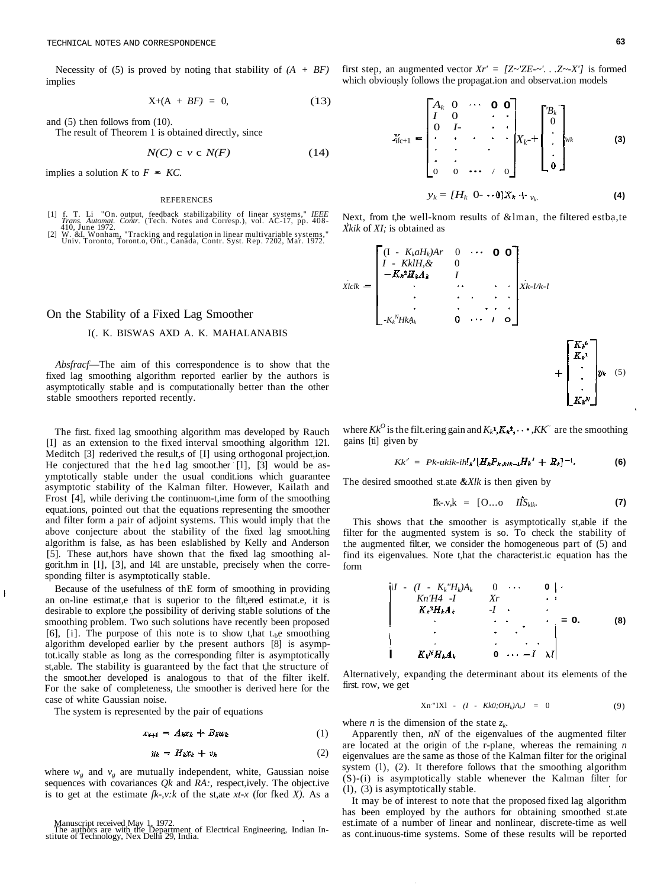Necessity of (5) is proved by noting that stability of *(A + BF)* implies

$$
X+(A + BF) = 0, \qquad (13)
$$

and (5) t.hen follows from (10).

The result of Theorem 1 is obtained directly, since

$$
N(C) \ c \ v \ c \ N(F) \tag{14}
$$

implies a solution  $K$  to  $F = KC$ .

#### REFERENCES

- [1] f. T. Li "On. output, feedback stabilizability of linear systems," IEEE<br>Trans. Automat. Contr. (Tech. Notes and Corresp.), vol. AC-17, pp. 408-<br>[2] W. &I. Wonham, "Tracking and regulation in linear multivariable system
- 

On the Stability of a Fixed Lag Smoother

### I(. K. BISWAS AXD A. K. MAHALANABIS

*Absfracf*—The aim of this correspondence is to show that the fixed lag smoothing algorithm reported earlier by the authors is asymptotically stable and is computationally better than the other stable smoothers reported recently.

The first. fixed lag smoothing algorithm mas developed by Rauch [I] as an extension to the fixed interval smoothing algorithm 121. Meditch [3] rederived t.he result,s of [I] using orthogonal project,ion. He conjectured that the hed lag smoot.her [1], [3] would be asymptotically stable under the usual condit.ions which guarantee asymptotic stability of the Kalman filter. However, Kailath and Frost [4], while deriving t.he continuom-t,ime form of the smoothing equat.ions, pointed out that the equations representing the smoother and filter form a pair of adjoint systems. This would imply that the above conjecture about the stability of the fixed lag smoot.hing algorithm is false, as has been eslablished by Kelly and Anderson [5]. These aut,hors have shown that the fixed lag smoothing algorit.hm in [l], [3], and 141 are unstable, precisely when the corresponding filter is asymptotically stable.

Because of the usefulness of thE form of smoothing in providing an on-line estimat,e that is superior to the filt,ered estimat.e, it is desirable to explore t,he possibility of deriving stable solutions of t.he smoothing problem. Two such solutions have recently been proposed [6], [i]. The purpose of this note is to show t, hat t<sub>h</sub>e smoothing algorithm developed earlier by t.he present authors [8] is asymptot.ically stable as long as the corresponding filter is asymptotically st,able. The stability is guaranteed by the fact that t,he structure of the smoot.her developed is analogous to that of the filter ikelf. For the sake of completeness, t.he smoother is derived here for the case of white Gaussian noise.

The system is represented by the pair of equations

$$
x_{k+1} = A_k x_k + B_k w_k \tag{1}
$$

$$
y_k = H_k x_k + v_k \tag{2}
$$

where  $w_g$  and  $v_g$  are mutually independent, white, Gaussian noise sequences with covariances *Qk* and *RA:,* respect,ively. The object.ive is to get at the estimate *fk-,v:k* of the st,ate *xt-x* (for fked *X).* As a

 $\overline{1}$ 

first step, an augmented vector  $Xr' = [Z \sim 'ZE - \sim'. . . Z \sim X']$  is formed which obviously follows the propagat.ion and observat.ion models

$$
z_{\text{fic+1}} = \begin{bmatrix} A_k & 0 & \cdots & 0 & 0 \\ I & 0 & & \ddots & & \\ 0 & I & & \ddots & & \vdots \\ \vdots & \ddots & & & \vdots \\ 0 & 0 & \cdots & & & 0 \end{bmatrix} X_k + \begin{bmatrix} B_k \\ 0 \\ \vdots \\ \vdots \\ 0 \end{bmatrix} w_k \qquad (3)
$$

$$
y_k = [H_k \ 0 \cdots 0] X_k +_{v_k} \tag{4}
$$

Next, from t,he well-knom results of &lman, the filtered estba,te *Xkik* of *XI;* is obtained as

$$
\dot{\chi}_{lclk} = \begin{bmatrix}\n(I - K_k a H_k) Ar & 0 & \cdots & \mathbf{0} & \mathbf{0} \\
I - Kk l H_k & 0 & & & \\
-K_k^3 H_k A_k & I & & & \\
\vdots & \vdots & \vdots & \ddots & \vdots & \vdots \\
-K_k^N H k A_k & 0 & \cdots & I & \mathbf{0}\n\end{bmatrix} \dot{\chi}_{k-l/k-l} + \begin{bmatrix}\nK_k^0 \\
K_k^1 \\
\vdots \\
K_k^N\n\end{bmatrix} y_k
$$
\n(5)

where  $Kk^O$  is the filt.ering gain and  $K_k$ <sup>1</sup>,  $K_k$ <sup>2</sup>,  $\cdots$ ,  $KK^{\sim}$  are the smoothing gains [ti] given by

$$
Kk' = Pk - ukik - ih'_{k'}(H_{k}P_{k,klk-1}H_{k'} + R_{k})^{-1}.
$$
 (6)

The desired smoothed st.ate *&Xlk* is then given by

$$
\mathbf{I} \mathbf{k} \text{-} \mathbf{v} \text{,} \mathbf{k} = [\mathbf{O} \dots \mathbf{O} \quad \textit{I} \textit{I} \mathbf{S}_{\textit{k} \textit{l} \textit{k}} \tag{7}
$$

This shows that t.he smoother is asymptotically st,able if the filter for the augmented system is so. To check the stability of t.he augmented filt.er, we consider the homogeneous part of (5) and find its eigenvalues. Note t,hat the characterist.ic equation has the form

$$
\begin{vmatrix}\nI & \cdot & (I - K_k \, H_k) A_k & 0 & \cdots & 0 \\
K_N \, H4 & -I & Xr & \cdots & \cdots \\
K_k \, ^2 H_k A_k & -I & \cdots & \cdots & \cdots \\
\vdots & \vdots & \ddots & \vdots & \ddots & \vdots \\
K_k \, ^3 H_k A_k & 0 & \cdots & -I & \lambda I\n\end{vmatrix} = 0.
$$
\n(8)

Alternatively, expanding the determinant about its elements of the first. row, we get

$$
Xn''IXl - (I - Kk0; OH_k)A_kJ = 0 \qquad (9)
$$

where *n* is the dimension of the state *zk.*

Apparently then, *nN* of the eigenvalues of the augmented filter are located at the origin of t.he r-plane, whereas the remaining *n* eigenvalues are the same as those of the Kalman filter for the original system (l), (2). It therefore follows that the smoothing algorithm (S)-(i) is asymptotically stable whenever the Kalman filter for (l), (3) is asymptotically stable.

It may be of interest to note that the proposed fixed lag algorithm has been employed by the authors for obtaining smoothed st.ate est.imate of a number of linear and nonlinear, discrete-time as well as cont.inuous-time systems. Some of these results will be reported

Manuscript received May 1, 1972. The authors are with the Department of Electrical Engineering, Indian In-stitute of Technology, Nex Delhi 29, India.